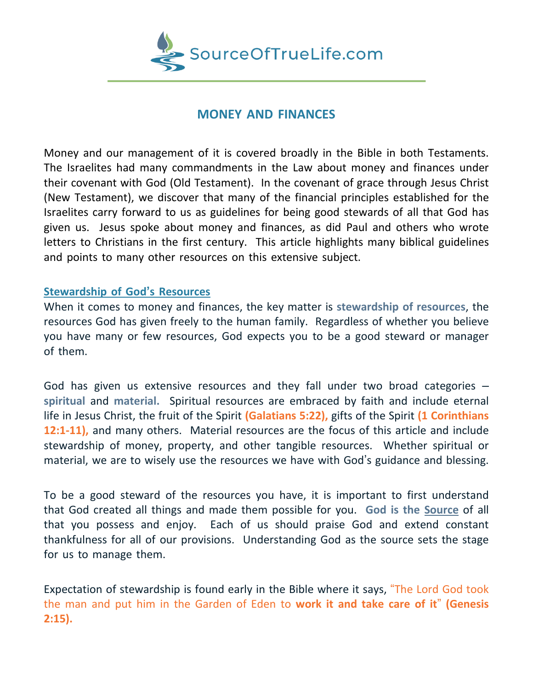

# **MONEY AND FINANCES**

Money and our management of it is covered broadly in the Bible in both Testaments. The Israelites had many commandments in the Law about money and finances under their covenant with God (Old Testament). In the covenant of grace through Jesus Christ (New Testament), we discover that many of the financial principles established for the Israelites carry forward to us as guidelines for being good stewards of all that God has given us. Jesus spoke about money and finances, as did Paul and others who wrote letters to Christians in the first century. This article highlights many biblical guidelines and points to many other resources on this extensive subject.

#### **Stewardship of God's Resources**

When it comes to money and finances, the key matter is **stewardship of resources**, the resources God has given freely to the human family. Regardless of whether you believe you have many or few resources, God expects you to be a good steward or manager of them.

God has given us extensive resources and they fall under two broad categories – **spiritual** and **material.** Spiritual resources are embraced by faith and include eternal life in Jesus Christ, the fruit of the Spirit **(Galatians 5:22),** gifts of the Spirit **(1 Corinthians 12:1-11),** and many others. Material resources are the focus of this article and include stewardship of money, property, and other tangible resources. Whether spiritual or material, we are to wisely use the resources we have with God's guidance and blessing.

To be a good steward of the resources you have, it is important to first understand that God created all things and made them possible for you. **God is the Source** of all that you possess and enjoy. Each of us should praise God and extend constant thankfulness for all of our provisions. Understanding God as the source sets the stage for us to manage them.

Expectation of stewardship is found early in the Bible where it says, "The Lord God took the man and put him in the Garden of Eden to **work it and take care of it**" **(Genesis 2:15).**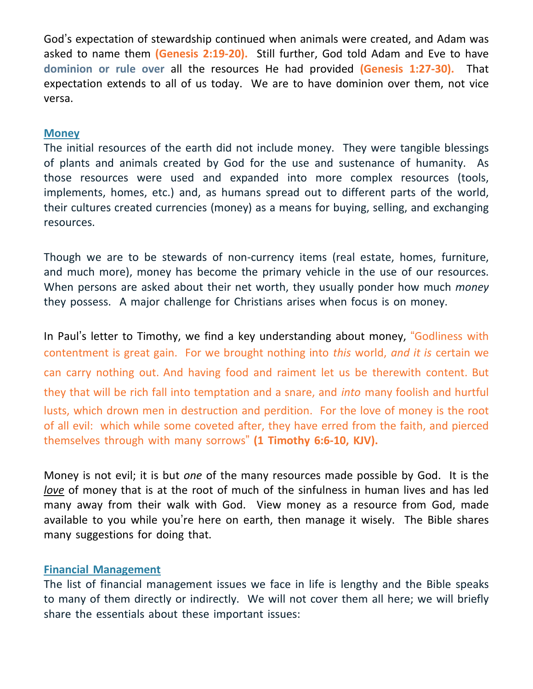God's expectation of stewardship continued when animals were created, and Adam was asked to name them **(Genesis 2:19-20).** Still further, God told Adam and Eve to have **dominion or rule over** all the resources He had provided **(Genesis 1:27-30).** That expectation extends to all of us today. We are to have dominion over them, not vice versa.

### **Money**

The initial resources of the earth did not include money. They were tangible blessings of plants and animals created by God for the use and sustenance of humanity. As those resources were used and expanded into more complex resources (tools, implements, homes, etc.) and, as humans spread out to different parts of the world, their cultures created currencies (money) as a means for buying, selling, and exchanging resources.

Though we are to be stewards of non-currency items (real estate, homes, furniture, and much more), money has become the primary vehicle in the use of our resources. When persons are asked about their net worth, they usually ponder how much *money* they possess. A major challenge for Christians arises when focus is on money.

In Paul's letter to Timothy, we find a key understanding about money, "Godliness with contentment is great gain. For we brought nothing into *this* world, *and it is* certain we can carry nothing out. And having food and raiment let us be therewith content. But they that will be rich fall into temptation and a snare, and *into* many foolish and hurtful lusts, which drown men in destruction and perdition. For the love of money is the root of all evil: which while some coveted after, they have erred from the faith, and pierced themselves through with many sorrows" **(1 Timothy 6:6-10, KJV).**

Money is not evil; it is but *one* of the many resources made possible by God. It is the *love* of money that is at the root of much of the sinfulness in human lives and has led many away from their walk with God. View money as a resource from God, made available to you while you're here on earth, then manage it wisely. The Bible shares many suggestions for doing that.

# **Financial Management**

The list of financial management issues we face in life is lengthy and the Bible speaks to many of them directly or indirectly. We will not cover them all here; we will briefly share the essentials about these important issues: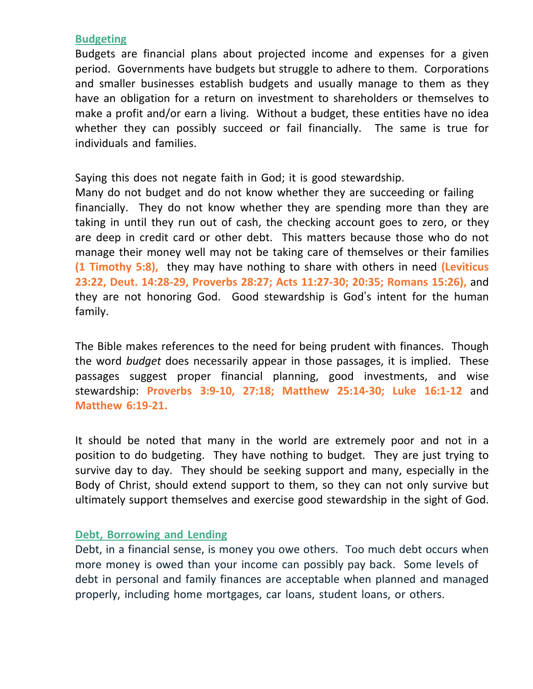### **Budgeting**

Budgets are financial plans about projected income and expenses for a given period. Governments have budgets but struggle to adhere to them. Corporations and smaller businesses establish budgets and usually manage to them as they have an obligation for a return on investment to shareholders or themselves to make a profit and/or earn a living. Without a budget, these entities have no idea whether they can possibly succeed or fail financially. The same is true for individuals and families.

Saying this does not negate faith in God; it is good stewardship.

Many do not budget and do not know whether they are succeeding or failing financially. They do not know whether they are spending more than they are taking in until they run out of cash, the checking account goes to zero, or they are deep in credit card or other debt. This matters because those who do not manage their money well may not be taking care of themselves or their families **(1 Timothy 5:8),** they may have nothing to share with others in need **(Leviticus 23:22, Deut. 14:28-29, Proverbs 28:27; Acts 11:27-30; 20:35; Romans 15:26),** and they are not honoring God. Good stewardship is God's intent for the human family.

The Bible makes references to the need for being prudent with finances. Though the word *budget* does necessarily appear in those passages, it is implied. These passages suggest proper financial planning, good investments, and wise stewardship: **Proverbs 3:9-10, 27:18; Matthew 25:14-30; Luke 16:1-12** and **Matthew 6:19-21.**

It should be noted that many in the world are extremely poor and not in a position to do budgeting. They have nothing to budget. They are just trying to survive day to day. They should be seeking support and many, especially in the Body of Christ, should extend support to them, so they can not only survive but ultimately support themselves and exercise good stewardship in the sight of God.

#### **Debt, Borrowing and Lending**

Debt, in a financial sense, is money you owe others. Too much debt occurs when more money is owed than your income can possibly pay back. Some levels of debt in personal and family finances are acceptable when planned and managed properly, including home mortgages, car loans, student loans, or others.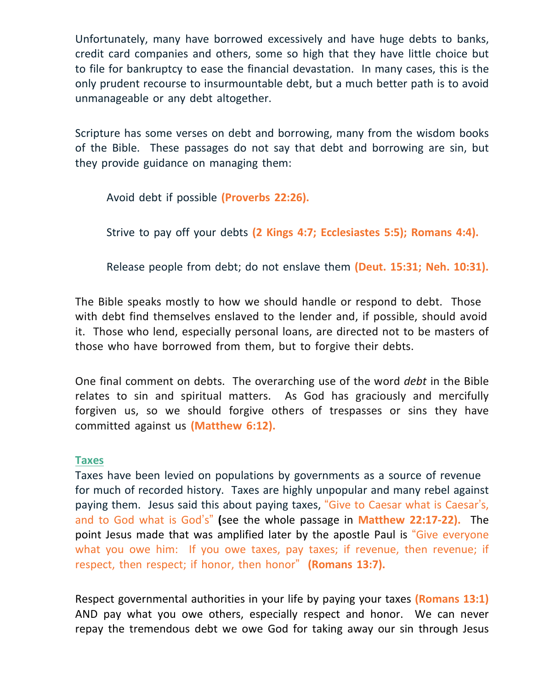Unfortunately, many have borrowed excessively and have huge debts to banks, credit card companies and others, some so high that they have little choice but to file for bankruptcy to ease the financial devastation. In many cases, this is the only prudent recourse to insurmountable debt, but a much better path is to avoid unmanageable or any debt altogether.

Scripture has some verses on debt and borrowing, many from the wisdom books of the Bible. These passages do not say that debt and borrowing are sin, but they provide guidance on managing them:

Avoid debt if possible **(Proverbs 22:26).**

Strive to pay off your debts **(2 Kings 4:7; Ecclesiastes 5:5); Romans 4:4).**

Release people from debt; do not enslave them **(Deut. 15:31; Neh. 10:31).**

The Bible speaks mostly to how we should handle or respond to debt. Those with debt find themselves enslaved to the lender and, if possible, should avoid it. Those who lend, especially personal loans, are directed not to be masters of those who have borrowed from them, but to forgive their debts.

One final comment on debts. The overarching use of the word *debt* in the Bible relates to sin and spiritual matters. As God has graciously and mercifully forgiven us, so we should forgive others of trespasses or sins they have committed against us **(Matthew 6:12).**

#### **Taxes**

Taxes have been levied on populations by governments as a source of revenue for much of recorded history. Taxes are highly unpopular and many rebel against paying them. Jesus said this about paying taxes, "Give to Caesar what is Caesar's, and to God what is God's" **(**see the whole passage in **Matthew 22:17-22).** The point Jesus made that was amplified later by the apostle Paul is "Give everyone what you owe him: If you owe taxes, pay taxes; if revenue, then revenue; if respect, then respect; if honor, then honor" **(Romans 13:7).**

Respect governmental authorities in your life by paying your taxes **(Romans 13:1)** AND pay what you owe others, especially respect and honor. We can never repay the tremendous debt we owe God for taking away our sin through Jesus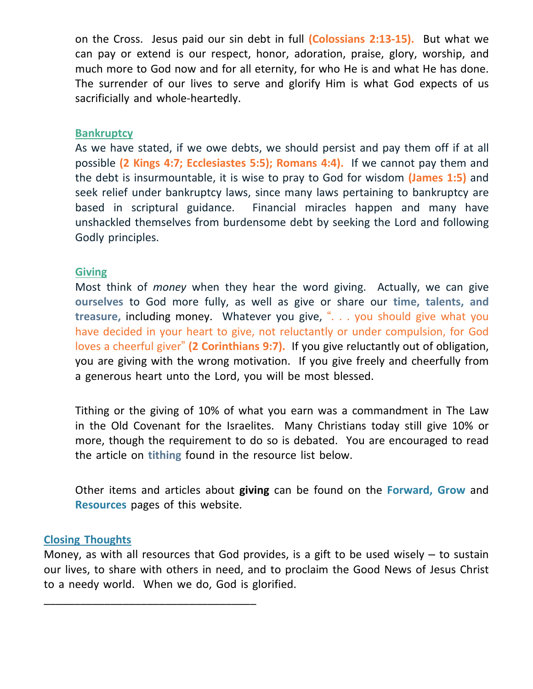on the Cross. Jesus paid our sin debt in full **(Colossians 2:13-15).** But what we can pay or extend is our respect, honor, adoration, praise, glory, worship, and much more to God now and for all eternity, for who He is and what He has done. The surrender of our lives to serve and glorify Him is what God expects of us sacrificially and whole-heartedly.

#### **Bankruptcy**

As we have stated, if we owe debts, we should persist and pay them off if at all possible **(2 Kings 4:7; Ecclesiastes 5:5); Romans 4:4).** If we cannot pay them and the debt is insurmountable, it is wise to pray to God for wisdom **(James 1:5)** and seek relief under bankruptcy laws, since many laws pertaining to bankruptcy are based in scriptural guidance. Financial miracles happen and many have unshackled themselves from burdensome debt by seeking the Lord and following Godly principles.

#### **Giving**

Most think of *money* when they hear the word giving. Actually, we can give **ourselves** to God more fully, as well as give or share our **time, talents, and treasure,** including money. Whatever you give, ". . . you should give what you have decided in your heart to give, not reluctantly or under compulsion, for God loves a cheerful giver" **(2 Corinthians 9:7).** If you give reluctantly out of obligation, you are giving with the wrong motivation. If you give freely and cheerfully from a generous heart unto the Lord, you will be most blessed.

Tithing or the giving of 10% of what you earn was a commandment in The Law in the Old Covenant for the Israelites. Many Christians today still give 10% or more, though the requirement to do so is debated. You are encouraged to read the article on **tithing** found in the resource list below.

Other items and articles about **giving** can be found on the **Forward, Grow** and **Resources** pages of this website.

#### **Closing Thoughts**

\_\_\_\_\_\_\_\_\_\_\_\_\_\_\_\_\_\_\_\_\_\_\_\_\_\_\_\_\_\_\_\_\_\_\_

Money, as with all resources that God provides, is a gift to be used wisely  $-$  to sustain our lives, to share with others in need, and to proclaim the Good News of Jesus Christ to a needy world. When we do, God is glorified.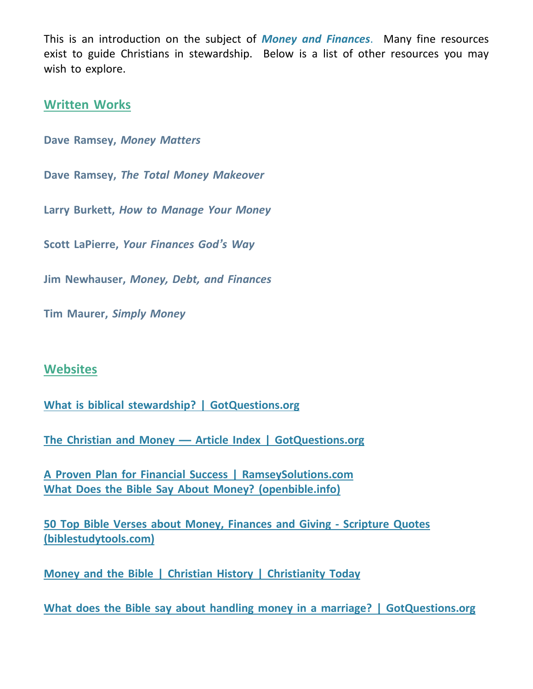This is an introduction on the subject of *Money and Finances*. Many fine resources exist to guide Christians in stewardship. Below is a list of other resources you may wish to explore.

# **Written Works**

**Dave Ramsey,** *Money Matters*

**Dave Ramsey,** *The Total Money Makeover*

**Larry Burkett,** *How to Manage Your Money*

**Scott LaPierre,** *Your Finances God's Way*

**Jim Newhauser,** *Money, Debt, and Finances*

**Tim Maurer,** *Simply Money*

# **Websites**

**What is biblical stewardship? | [GotQuestions.org](https://www.gotquestions.org/biblical-stewardship.html)**

**The Christian and Money — Article Index | [GotQuestions.org](https://www.gotquestions.org/content_life_money.html)**

**A Proven Plan for Financial Success | [RamseySolutions.com](https://www.ramseysolutions.com/) What Does the Bible Say About Money? [\(openbible.info\)](https://www.openbible.info/topics/money)**

**50 Top Bible Verses about Money, Finances and Giving - [Scripture](https://www.biblestudytools.com/topical-verses/money-bible-verses/) Quotes** **[\(biblestudytools.com\)](https://www.biblestudytools.com/topical-verses/money-bible-verses/)**

**Money and the Bible | Christian History | [Christianity](https://www.christianitytoday.com/history/issues/issue-14/money-and-bible.html) Today**

**What does the Bible say about handling money in a marriage? | [GotQuestions.org](https://www.gotquestions.org/money-marriage.html)**